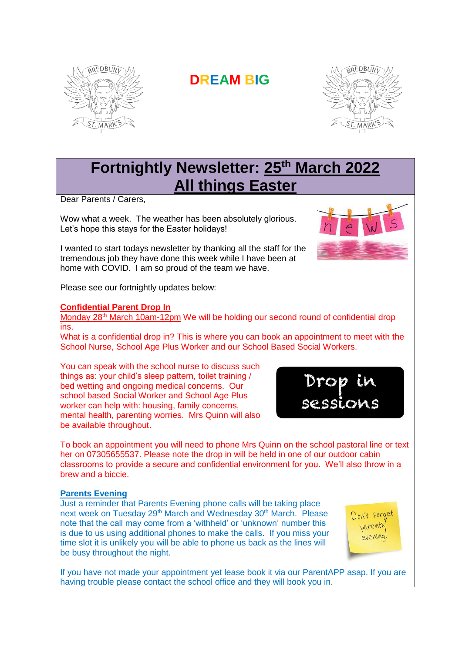

# **DREAM BIG**



## **Fortnightly Newsletter: 25th March 2022 All things Easter**

Dear Parents / Carers,

Wow what a week. The weather has been absolutely glorious. Let's hope this stays for the Easter holidays!

I wanted to start todays newsletter by thanking all the staff for the tremendous job they have done this week while I have been at home with COVID. I am so proud of the team we have.



Drou

sessions

Please see our fortnightly updates below:

## **Confidential Parent Drop In**

Monday 28<sup>th</sup> March 10am-12pm We will be holding our second round of confidential drop ins.

What is a confidential drop in? This is where you can book an appointment to meet with the School Nurse, School Age Plus Worker and our School Based Social Workers.

You can speak with the school nurse to discuss such things as: your child's sleep pattern, toilet training / bed wetting and ongoing medical concerns. Our school based Social Worker and School Age Plus worker can help with: housing, family concerns, mental health, parenting worries. Mrs Quinn will also be available throughout.

To book an appointment you will need to phone Mrs Quinn on the school pastoral line or text her on 07305655537. Please note the drop in will be held in one of our outdoor cabin classrooms to provide a secure and confidential environment for you. We'll also throw in a brew and a biccie.

## **Parents Evening**

Just a reminder that Parents Evening phone calls will be taking place next week on Tuesday 29<sup>th</sup> March and Wednesday 30<sup>th</sup> March. Please note that the call may come from a 'withheld' or 'unknown' number this is due to us using additional phones to make the calls. If you miss your time slot it is unlikely you will be able to phone us back as the lines will be busy throughout the night.

Don't forge parents evening

If you have not made your appointment yet lease book it via our ParentAPP asap. If you are having trouble please contact the school office and they will book you in.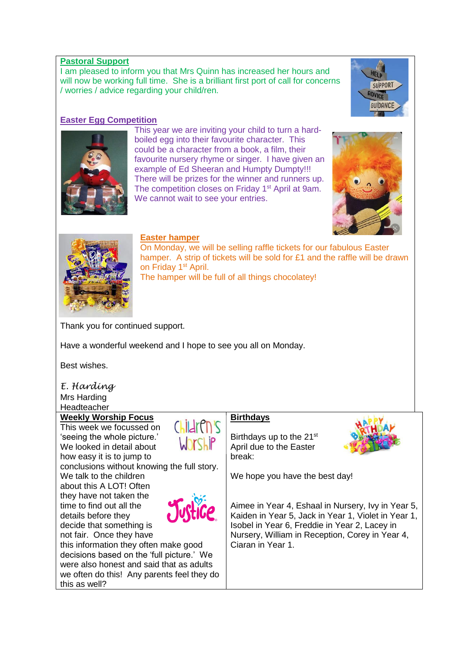## **Pastoral Support**

I am pleased to inform you that Mrs Quinn has increased her hours and will now be working full time. She is a brilliant first port of call for concerns / worries / advice regarding your child/ren.

## **Easter Egg Competition**

This year we are inviting your child to turn a hardboiled egg into their favourite character. This could be a character from a book, a film, their favourite nursery rhyme or singer. I have given an example of Ed Sheeran and Humpty Dumpty!!! There will be prizes for the winner and runners up. The competition closes on Friday 1<sup>st</sup> April at 9am. We cannot wait to see your entries.







## **Easter hamper**

On Monday, we will be selling raffle tickets for our fabulous Easter hamper. A strip of tickets will be sold for £1 and the raffle will be drawn on Friday 1<sup>st</sup> April.

The hamper will be full of all things chocolatey!

Thank you for continued support.

Have a wonderful weekend and I hope to see you all on Monday.

Best wishes.

#### *E. Harding* Mrs Harding **Headteacher**

## **Weekly Worship Focus**

This week we focussed on 'seeing the whole picture.' We looked in detail about how easy it is to jump to

conclusions without knowing the full story.

We talk to the children about this A LOT! Often they have not taken the time to find out all the details before they decide that something is not fair. Once they have



Children's

Worship

this information they often make good decisions based on the 'full picture.' We were also honest and said that as adults we often do this! Any parents feel they do this as well?

## **Birthdays**

Birthdays up to the 21<sup>st</sup> April due to the Easter break:



We hope you have the best day!

Aimee in Year 4, Eshaal in Nursery, Ivy in Year 5, Kaiden in Year 5, Jack in Year 1, Violet in Year 1, Isobel in Year 6, Freddie in Year 2, Lacey in Nursery, William in Reception, Corey in Year 4, Ciaran in Year 1.